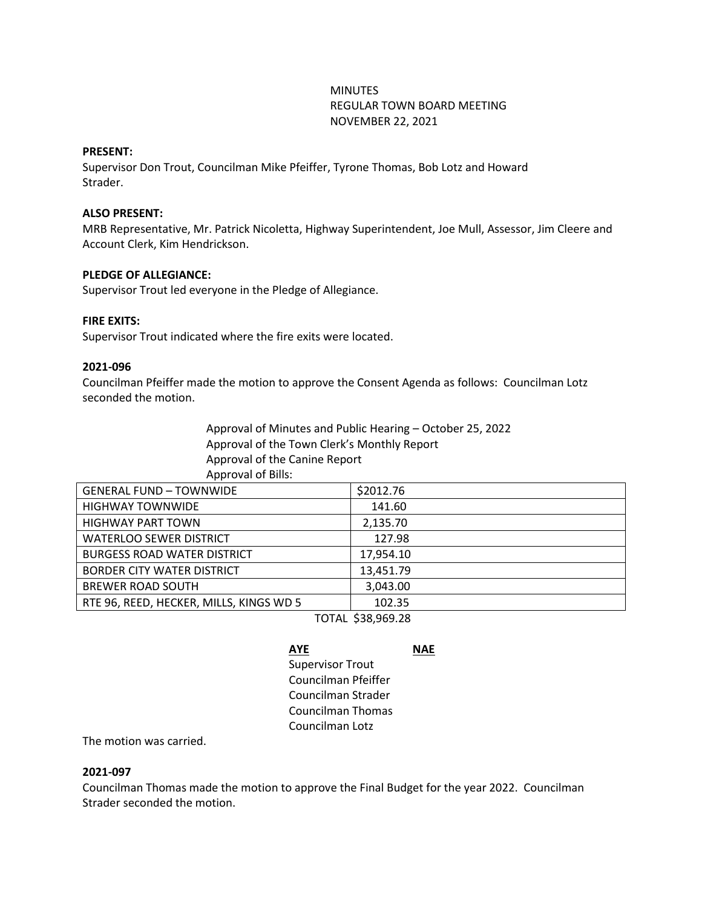# **MINUTES** REGULAR TOWN BOARD MEETING NOVEMBER 22, 2021

#### **PRESENT:**

Supervisor Don Trout, Councilman Mike Pfeiffer, Tyrone Thomas, Bob Lotz and Howard Strader.

#### **ALSO PRESENT:**

MRB Representative, Mr. Patrick Nicoletta, Highway Superintendent, Joe Mull, Assessor, Jim Cleere and Account Clerk, Kim Hendrickson.

#### **PLEDGE OF ALLEGIANCE:**

Supervisor Trout led everyone in the Pledge of Allegiance.

#### **FIRE EXITS:**

Supervisor Trout indicated where the fire exits were located.

## **2021-096**

Councilman Pfeiffer made the motion to approve the Consent Agenda as follows: Councilman Lotz seconded the motion.

> Approval of Minutes and Public Hearing – October 25, 2022 Approval of the Town Clerk's Monthly Report Approval of the Canine Report Approval of Bills:

| <b>GENERAL FUND - TOWNWIDE</b>          | \$2012.76 |  |  |
|-----------------------------------------|-----------|--|--|
| <b>HIGHWAY TOWNWIDE</b>                 | 141.60    |  |  |
| <b>HIGHWAY PART TOWN</b>                | 2,135.70  |  |  |
| <b>WATERLOO SEWER DISTRICT</b>          | 127.98    |  |  |
| <b>BURGESS ROAD WATER DISTRICT</b>      | 17,954.10 |  |  |
| <b>BORDER CITY WATER DISTRICT</b>       | 13,451.79 |  |  |
| <b>BREWER ROAD SOUTH</b>                | 3,043.00  |  |  |
| RTE 96, REED, HECKER, MILLS, KINGS WD 5 | 102.35    |  |  |
|                                         |           |  |  |

TOTAL \$38,969.28

**AYE NAE**

Supervisor Trout Councilman Pfeiffer Councilman Strader Councilman Thomas Councilman Lotz

The motion was carried.

#### **2021-097**

Councilman Thomas made the motion to approve the Final Budget for the year 2022. Councilman Strader seconded the motion.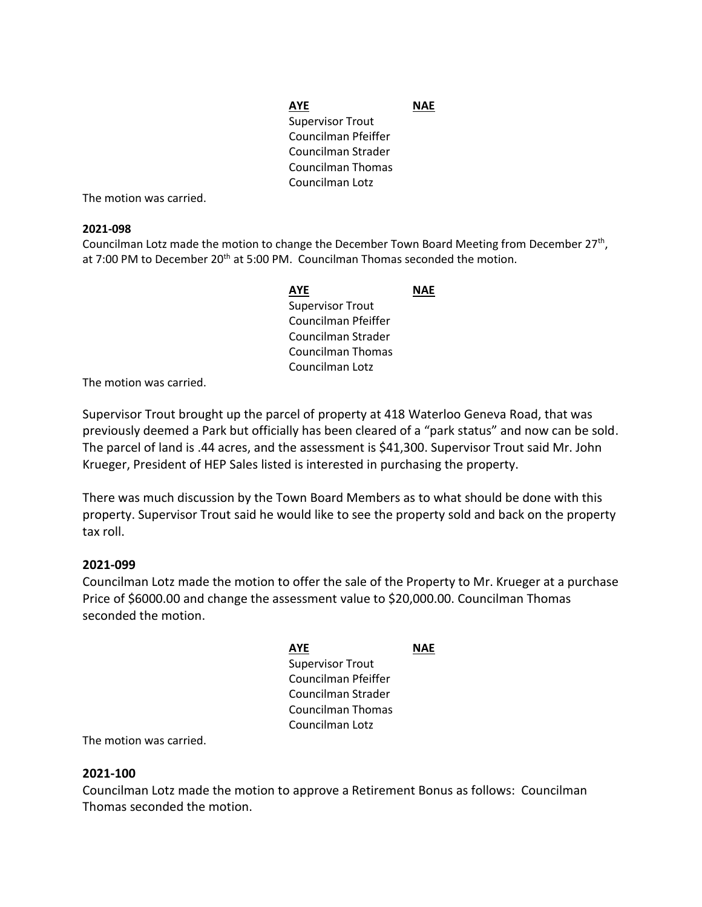**AYE NAE** Supervisor Trout Councilman Pfeiffer Councilman Strader Councilman Thomas Councilman Lotz

The motion was carried.

## **2021-098**

Councilman Lotz made the motion to change the December Town Board Meeting from December  $27<sup>th</sup>$ , at 7:00 PM to December  $20<sup>th</sup>$  at 5:00 PM. Councilman Thomas seconded the motion.

> **AYE NAE** Supervisor Trout Councilman Pfeiffer Councilman Strader Councilman Thomas Councilman Lotz

The motion was carried.

Supervisor Trout brought up the parcel of property at 418 Waterloo Geneva Road, that was previously deemed a Park but officially has been cleared of a "park status" and now can be sold. The parcel of land is .44 acres, and the assessment is \$41,300. Supervisor Trout said Mr. John Krueger, President of HEP Sales listed is interested in purchasing the property.

There was much discussion by the Town Board Members as to what should be done with this property. Supervisor Trout said he would like to see the property sold and back on the property tax roll.

# **2021-099**

Councilman Lotz made the motion to offer the sale of the Property to Mr. Krueger at a purchase Price of \$6000.00 and change the assessment value to \$20,000.00. Councilman Thomas seconded the motion.

> **AYE NAE** Supervisor Trout Councilman Pfeiffer Councilman Strader Councilman Thomas Councilman Lotz

The motion was carried.

# **2021-100**

Councilman Lotz made the motion to approve a Retirement Bonus as follows: Councilman Thomas seconded the motion.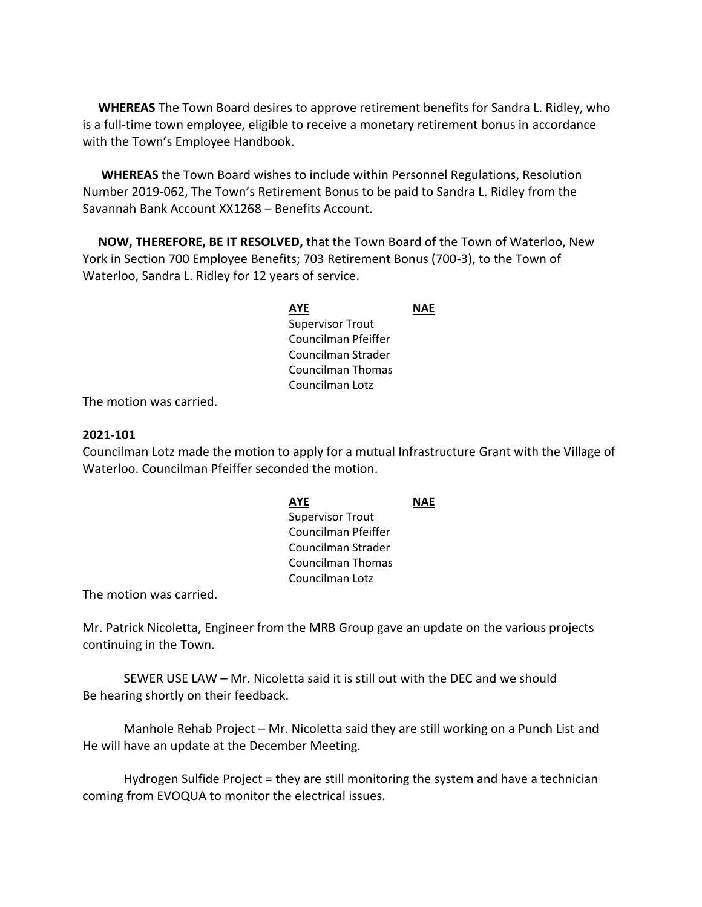**WHEREAS** The Town Board desires to approve retirement benefits for Sandra L. Ridley, who is a full-time town employee, eligible to receive a monetary retirement bonus in accordance with the Town's Employee Handbook.

 **WHEREAS** the Town Board wishes to include within Personnel Regulations, Resolution Number 2019-062, The Town's Retirement Bonus to be paid to Sandra L. Ridley from the Savannah Bank Account XX1268 – Benefits Account.

 **NOW, THEREFORE, BE IT RESOLVED,** that the Town Board of the Town of Waterloo, New York in Section 700 Employee Benefits; 703 Retirement Bonus (700-3), to the Town of Waterloo, Sandra L. Ridley for 12 years of service.

> **AYE NAE** Supervisor Trout Councilman Pfeiffer Councilman Strader Councilman Thomas Councilman Lotz

The motion was carried.

# **2021-101**

Councilman Lotz made the motion to apply for a mutual Infrastructure Grant with the Village of Waterloo. Councilman Pfeiffer seconded the motion.

| <b>AYE</b>              | F |
|-------------------------|---|
| <b>Supervisor Trout</b> |   |
| Councilman Pfeiffer     |   |
| Councilman Strader      |   |
| Councilman Thomas       |   |
| Councilman Lotz         |   |

The motion was carried.

Mr. Patrick Nicoletta, Engineer from the MRB Group gave an update on the various projects continuing in the Town.

SEWER USE LAW – Mr. Nicoletta said it is still out with the DEC and we should Be hearing shortly on their feedback.

Manhole Rehab Project – Mr. Nicoletta said they are still working on a Punch List and He will have an update at the December Meeting.

Hydrogen Sulfide Project = they are still monitoring the system and have a technician coming from EVOQUA to monitor the electrical issues.